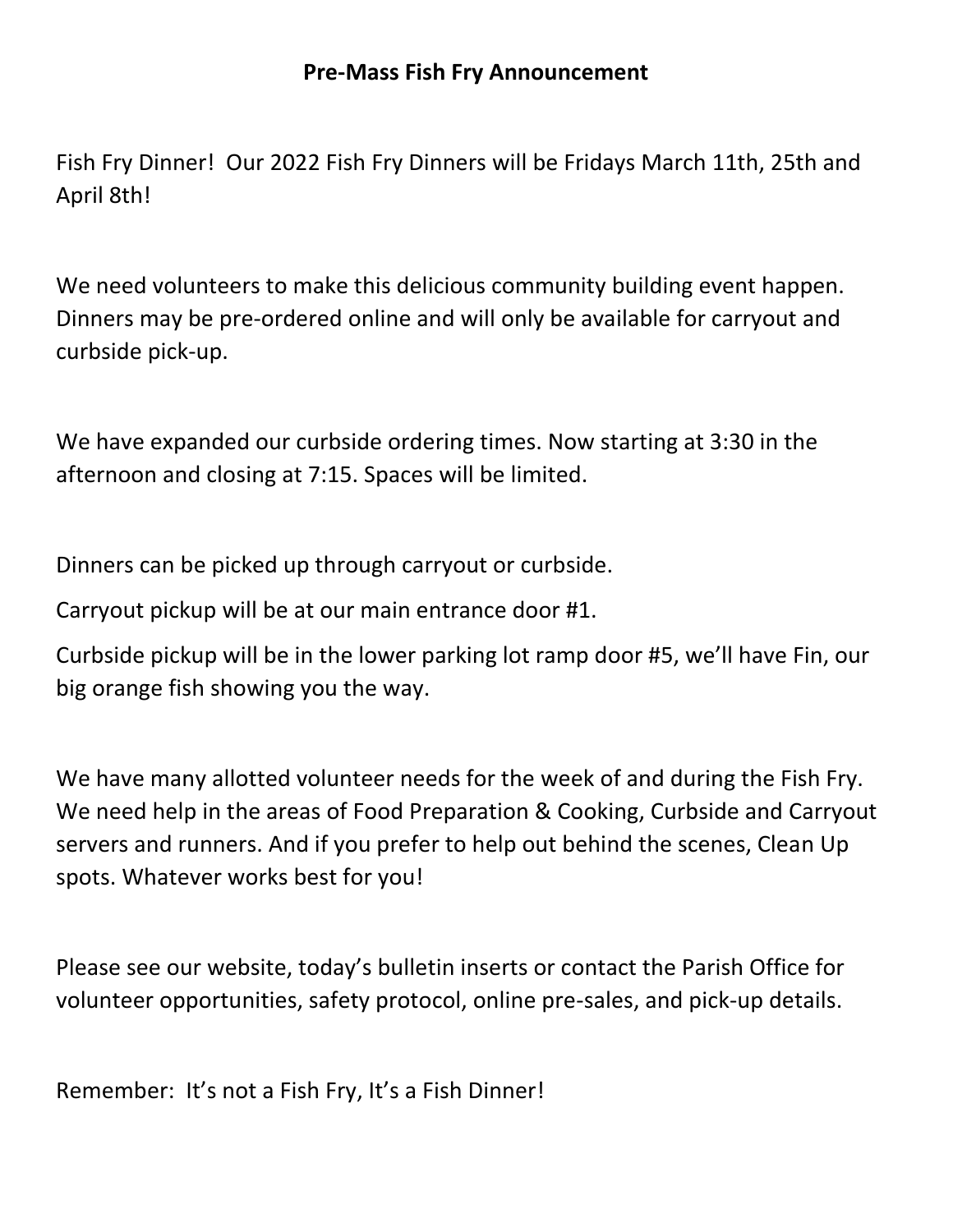#### **Pre-Mass Fish Fry Announcement**

Fish Fry Dinner! Our 2022 Fish Fry Dinners will be Fridays March 11th, 25th and April 8th!

We need volunteers to make this delicious community building event happen. Dinners may be pre-ordered online and will only be available for carryout and curbside pick-up.

We have expanded our curbside ordering times. Now starting at 3:30 in the afternoon and closing at 7:15. Spaces will be limited.

Dinners can be picked up through carryout or curbside.

Carryout pickup will be at our main entrance door #1.

Curbside pickup will be in the lower parking lot ramp door #5, we'll have Fin, our big orange fish showing you the way.

We have many allotted volunteer needs for the week of and during the Fish Fry. We need help in the areas of Food Preparation & Cooking, Curbside and Carryout servers and runners. And if you prefer to help out behind the scenes, Clean Up spots. Whatever works best for you!

Please see our website, today's bulletin inserts or contact the Parish Office for volunteer opportunities, safety protocol, online pre-sales, and pick-up details.

Remember: It's not a Fish Fry, It's a Fish Dinner!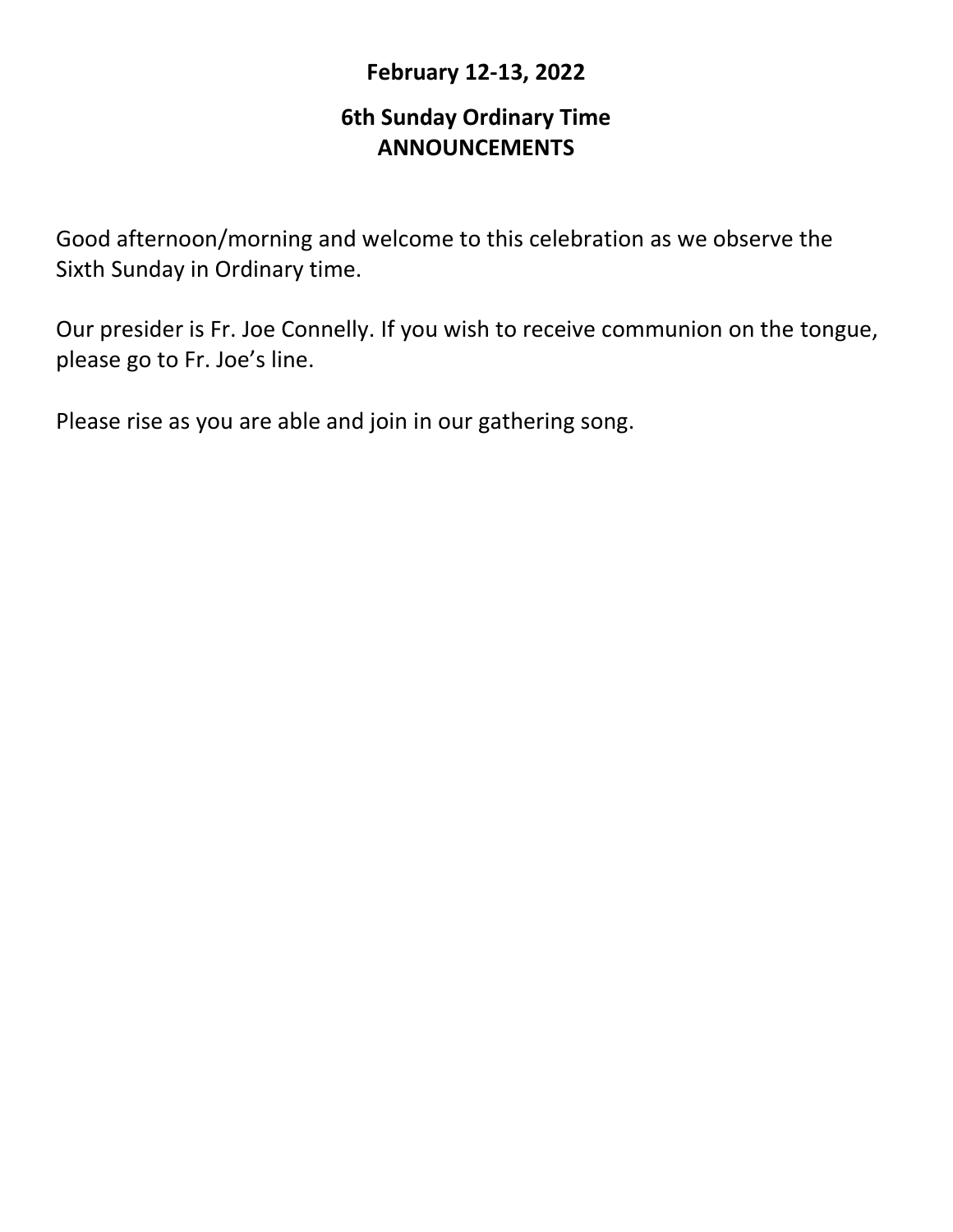## **February 12-13, 2022**

## **6th Sunday Ordinary Time ANNOUNCEMENTS**

Good afternoon/morning and welcome to this celebration as we observe the Sixth Sunday in Ordinary time.

Our presider is Fr. Joe Connelly. If you wish to receive communion on the tongue, please go to Fr. Joe's line.

Please rise as you are able and join in our gathering song.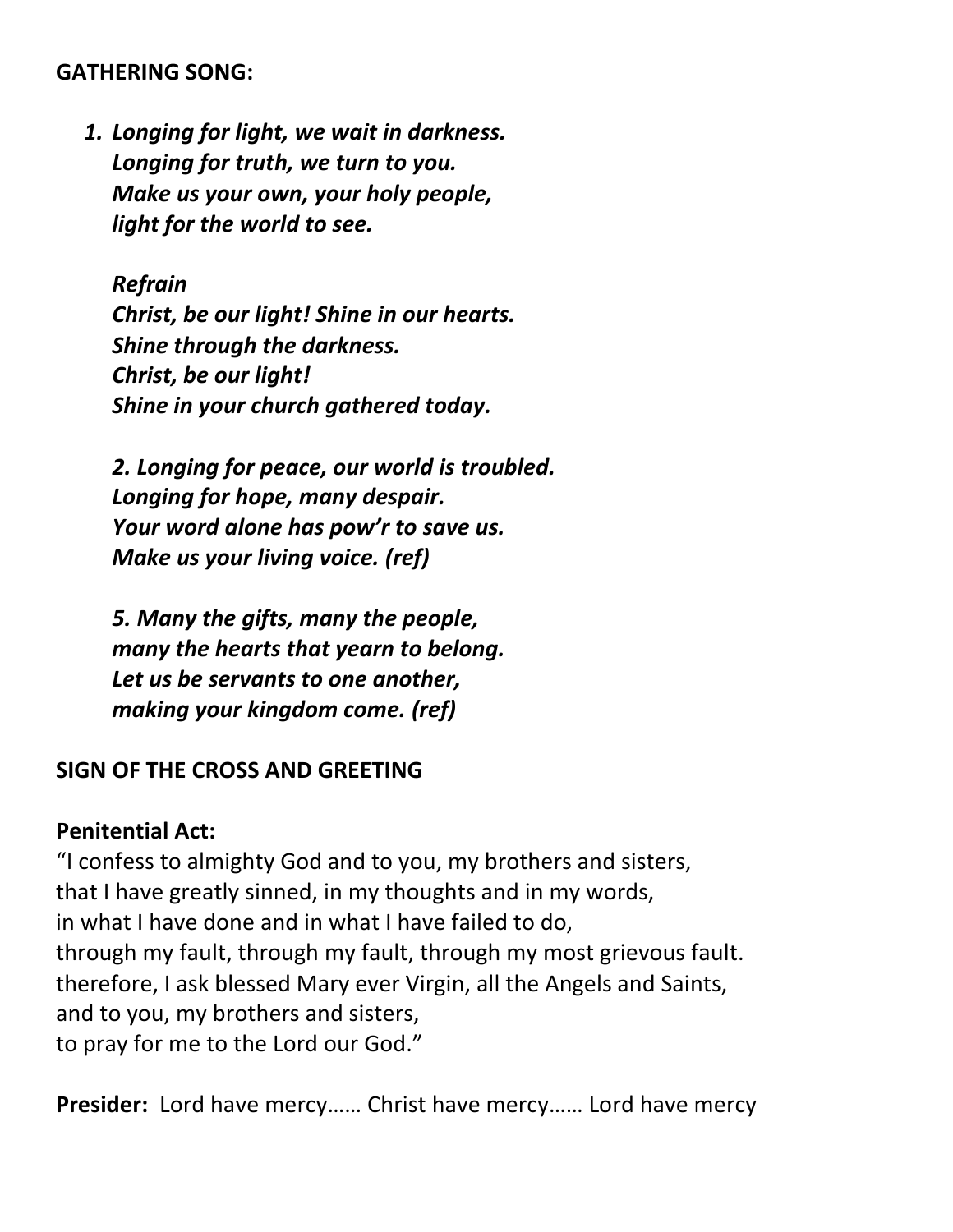#### **GATHERING SONG:**

*1. Longing for light, we wait in darkness. Longing for truth, we turn to you. Make us your own, your holy people, light for the world to see.*

*Refrain Christ, be our light! Shine in our hearts. Shine through the darkness. Christ, be our light! Shine in your church gathered today.*

*2. Longing for peace, our world is troubled. Longing for hope, many despair. Your word alone has pow'r to save us. Make us your living voice. (ref)*

*5. Many the gifts, many the people, many the hearts that yearn to belong. Let us be servants to one another, making your kingdom come. (ref)*

#### **SIGN OF THE CROSS AND GREETING**

## **Penitential Act:**

"I confess to almighty God and to you, my brothers and sisters, that I have greatly sinned, in my thoughts and in my words, in what I have done and in what I have failed to do, through my fault, through my fault, through my most grievous fault. therefore, I ask blessed Mary ever Virgin, all the Angels and Saints, and to you, my brothers and sisters, to pray for me to the Lord our God."

**Presider:** Lord have mercy…… Christ have mercy…… Lord have mercy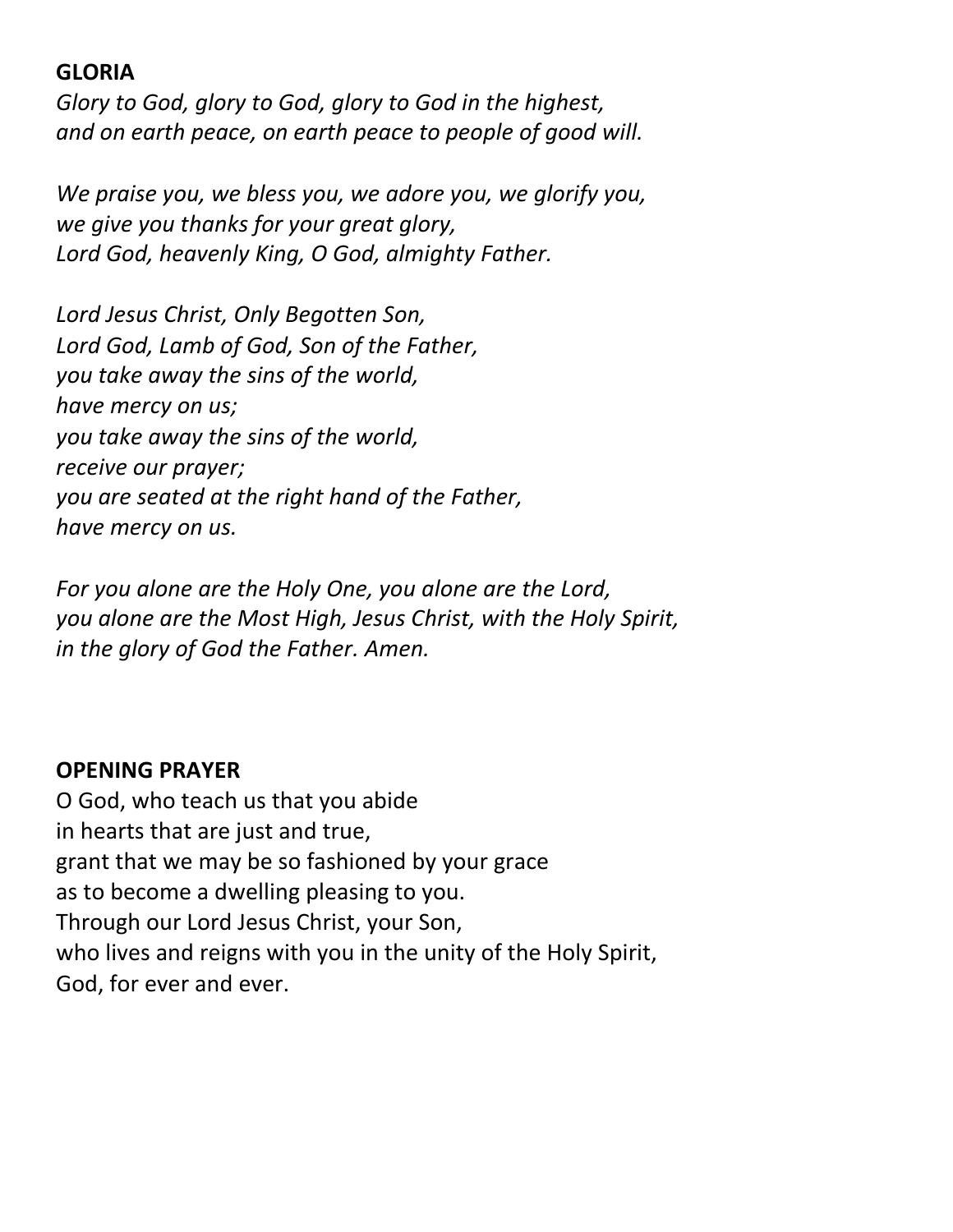## **GLORIA**

*Glory to God, glory to God, glory to God in the highest, and on earth peace, on earth peace to people of good will.* 

*We praise you, we bless you, we adore you, we glorify you, we give you thanks for your great glory, Lord God, heavenly King, O God, almighty Father.*

*Lord Jesus Christ, Only Begotten Son, Lord God, Lamb of God, Son of the Father, you take away the sins of the world, have mercy on us; you take away the sins of the world, receive our prayer; you are seated at the right hand of the Father, have mercy on us.*

*For you alone are the Holy One, you alone are the Lord, you alone are the Most High, Jesus Christ, with the Holy Spirit, in the glory of God the Father. Amen.*

#### **OPENING PRAYER**

O God, who teach us that you abide in hearts that are just and true, grant that we may be so fashioned by your grace as to become a dwelling pleasing to you. Through our Lord Jesus Christ, your Son, who lives and reigns with you in the unity of the Holy Spirit, God, for ever and ever.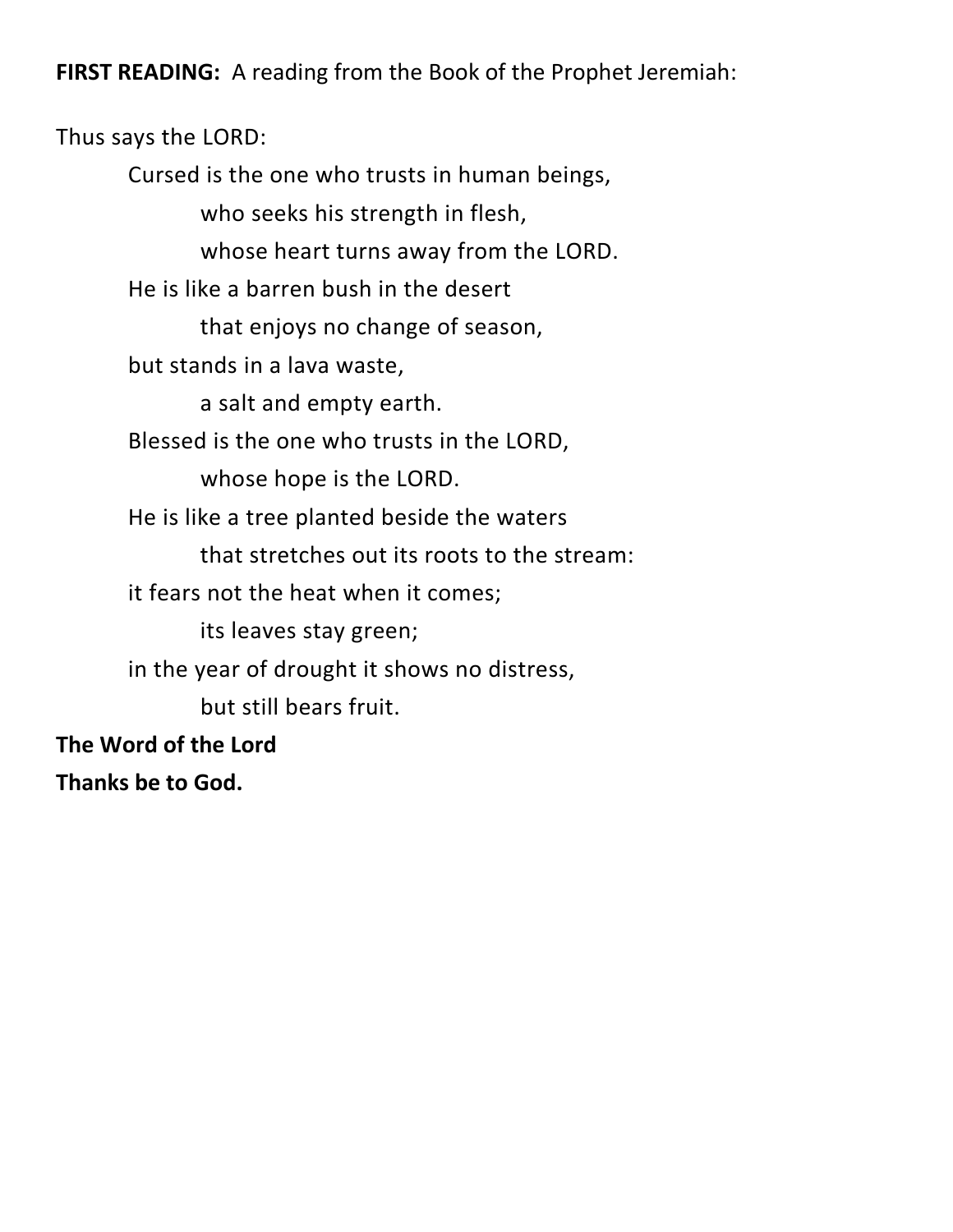**FIRST READING:** A reading from the Book of the Prophet Jeremiah:

Thus says the LORD: Cursed is the one who trusts in human beings, who seeks his strength in flesh, whose heart turns away from the LORD. He is like a barren bush in the desert that enjoys no change of season, but stands in a lava waste, a salt and empty earth. Blessed is the one who trusts in the LORD, whose hope is the LORD. He is like a tree planted beside the waters that stretches out its roots to the stream: it fears not the heat when it comes; its leaves stay green; in the year of drought it shows no distress, but still bears fruit. **The Word of the Lord Thanks be to God.**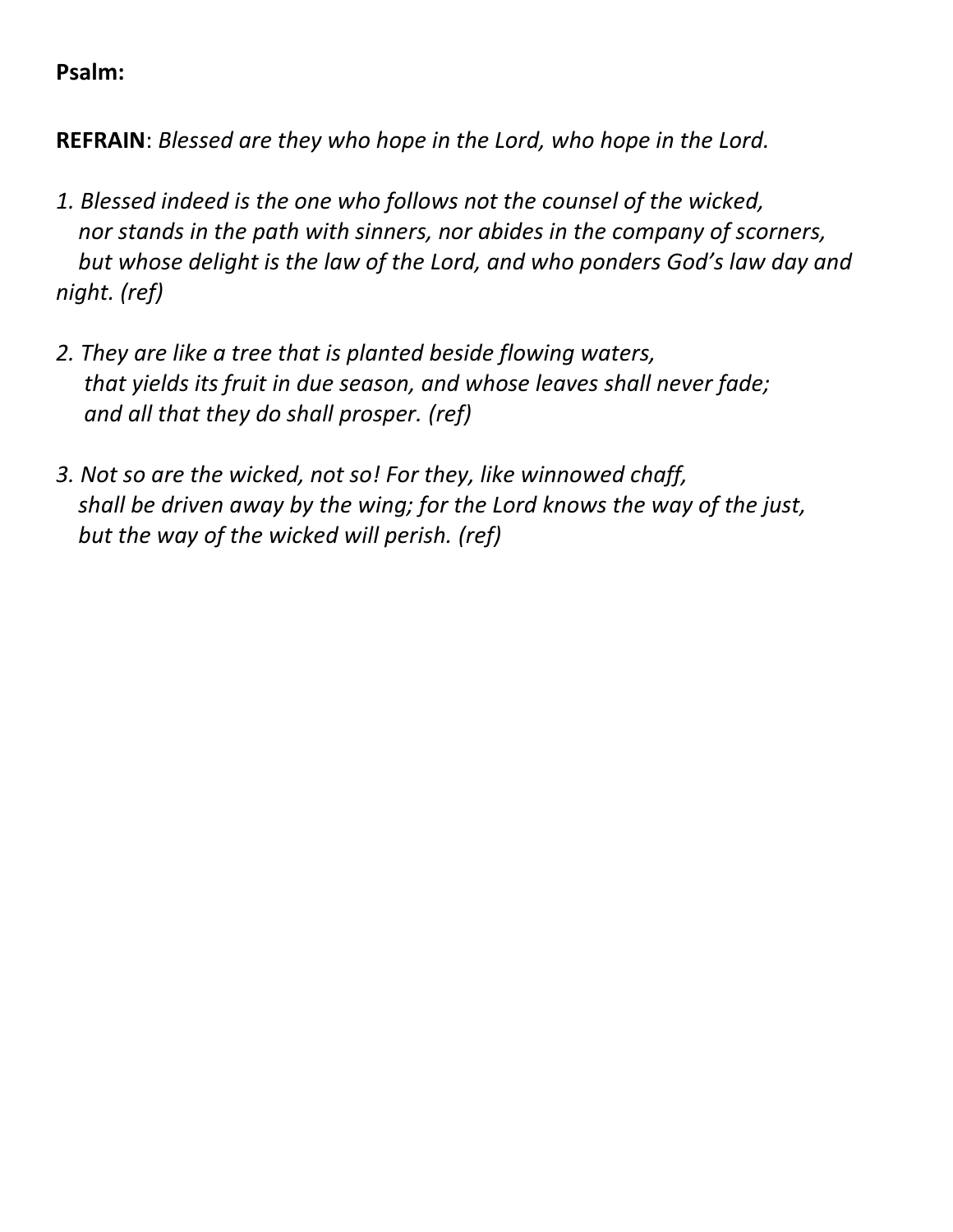### **Psalm:**

**REFRAIN**: *Blessed are they who hope in the Lord, who hope in the Lord.*

- *1. Blessed indeed is the one who follows not the counsel of the wicked, nor stands in the path with sinners, nor abides in the company of scorners, but whose delight is the law of the Lord, and who ponders God's law day and night. (ref)*
- *2. They are like a tree that is planted beside flowing waters, that yields its fruit in due season, and whose leaves shall never fade; and all that they do shall prosper. (ref)*
- *3. Not so are the wicked, not so! For they, like winnowed chaff, shall be driven away by the wing; for the Lord knows the way of the just, but the way of the wicked will perish. (ref)*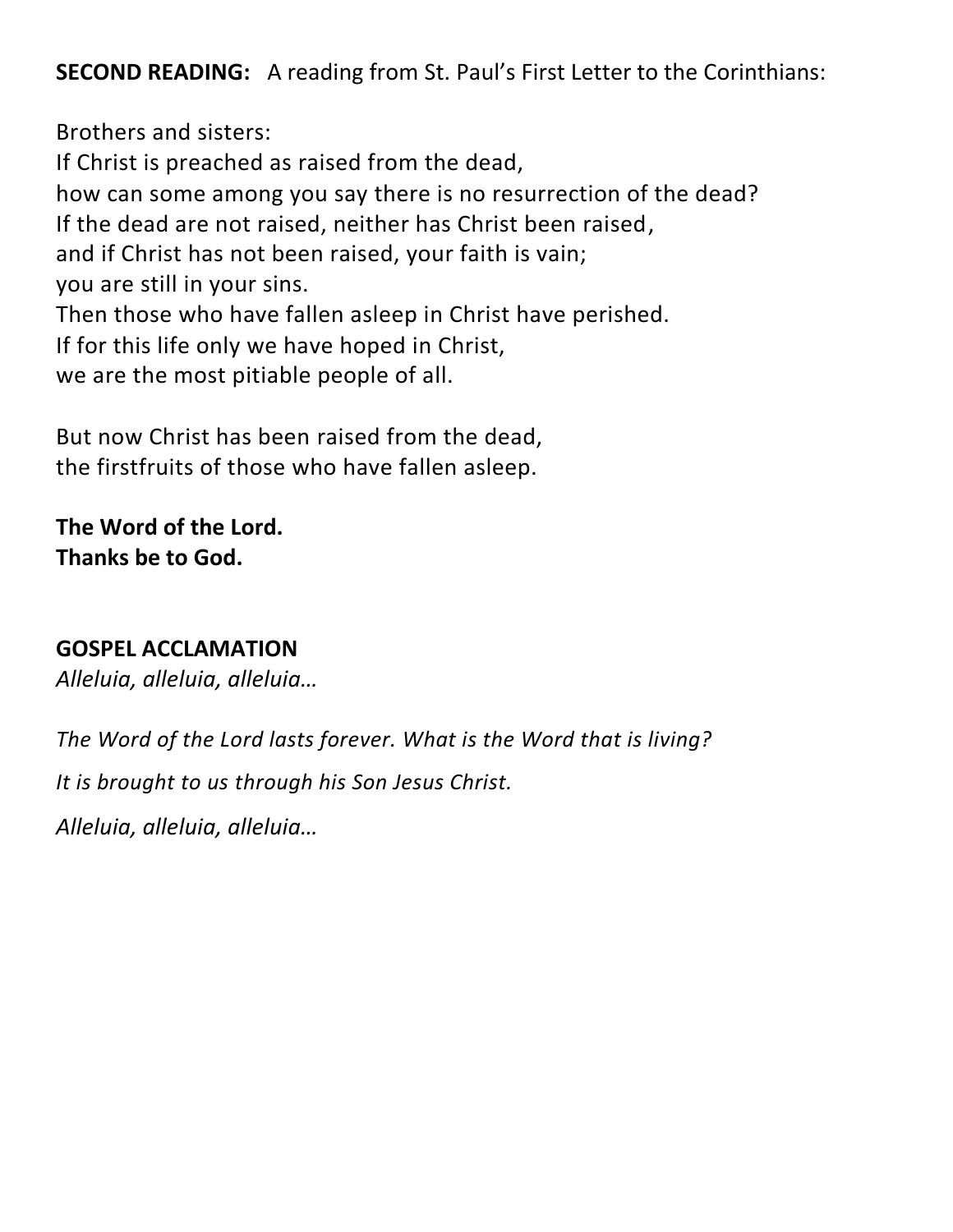**SECOND READING:** A reading from St. Paul's First Letter to the Corinthians:

Brothers and sisters: If Christ is preached as raised from the dead,

how can some among you say there is no resurrection of the dead?

If the dead are not raised, neither has Christ been raised,

and if Christ has not been raised, your faith is vain;

you are still in your sins.

Then those who have fallen asleep in Christ have perished.

If for this life only we have hoped in Christ,

we are the most pitiable people of all.

But now Christ has been raised from the dead, the firstfruits of those who have fallen asleep.

**The Word of the Lord. Thanks be to God.**

## **GOSPEL ACCLAMATION**

*Alleluia, alleluia, alleluia…*

*The Word of the Lord lasts forever. What is the Word that is living?*

*It is brought to us through his Son Jesus Christ.*

*Alleluia, alleluia, alleluia…*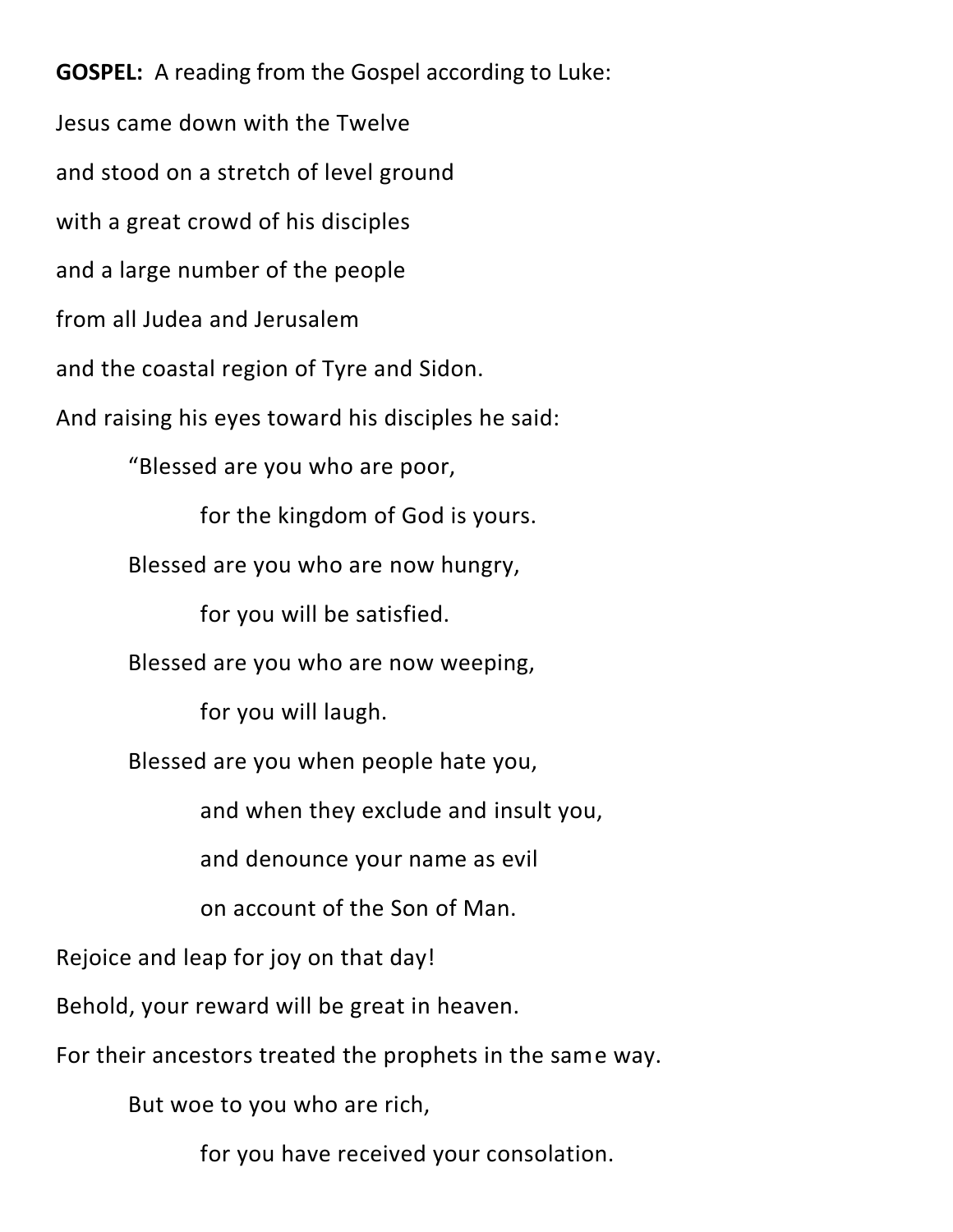**GOSPEL:** A reading from the Gospel according to Luke: Jesus came down with the Twelve and stood on a stretch of level ground with a great crowd of his disciples and a large number of the people from all Judea and Jerusalem and the coastal region of Tyre and Sidon. And raising his eyes toward his disciples he said: "Blessed are you who are poor, for the kingdom of God is yours. Blessed are you who are now hungry, for you will be satisfied. Blessed are you who are now weeping, for you will laugh. Blessed are you when people hate you, and when they exclude and insult you, and denounce your name as evil on account of the Son of Man. Rejoice and leap for joy on that day! Behold, your reward will be great in heaven. For their ancestors treated the prophets in the same way. But woe to you who are rich,

for you have received your consolation.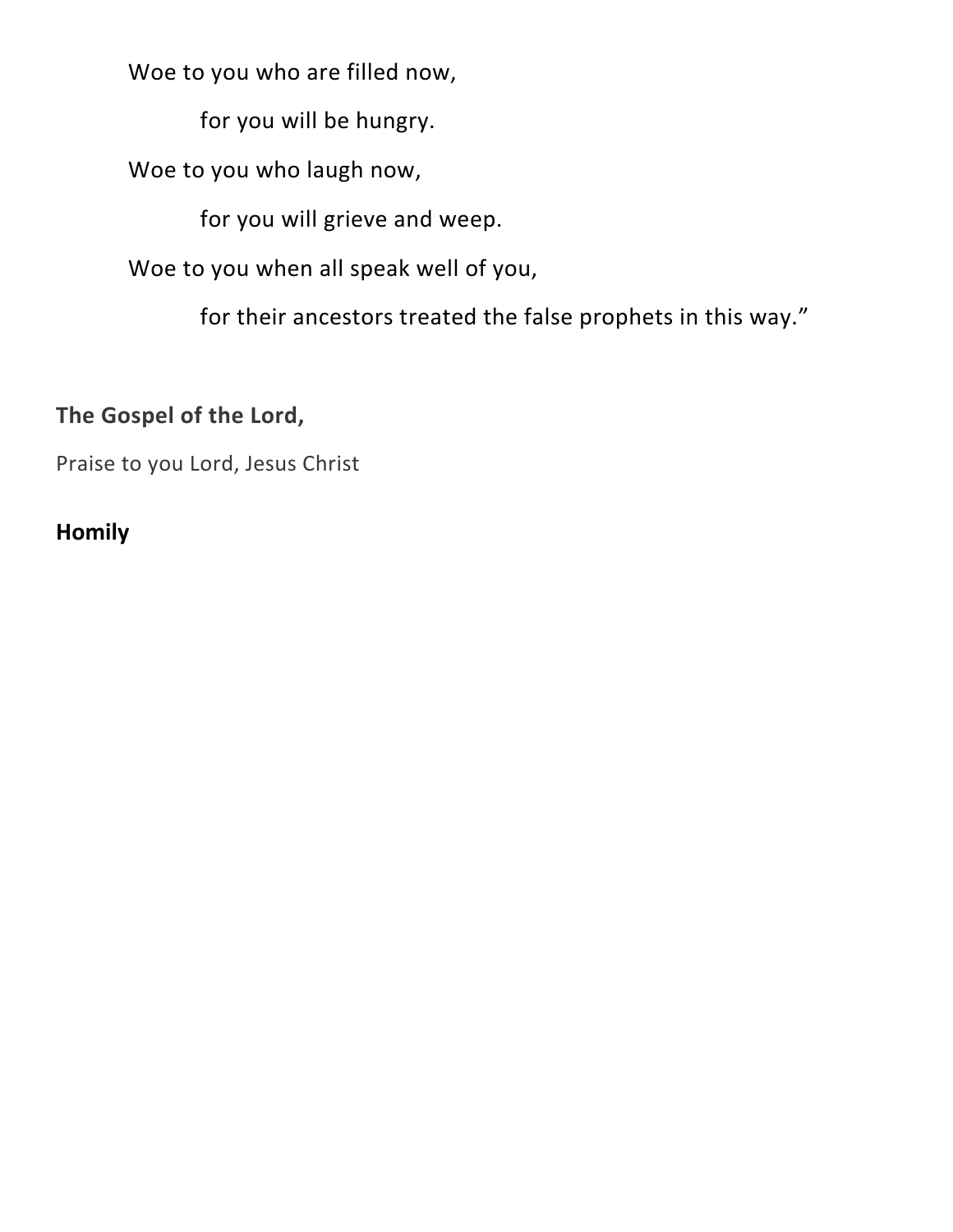Woe to you who are filled now,

for you will be hungry.

Woe to you who laugh now,

for you will grieve and weep.

Woe to you when all speak well of you,

for their ancestors treated the false prophets in this way."

# **The Gospel of the Lord,**

Praise to you Lord, Jesus Christ

# **Homily**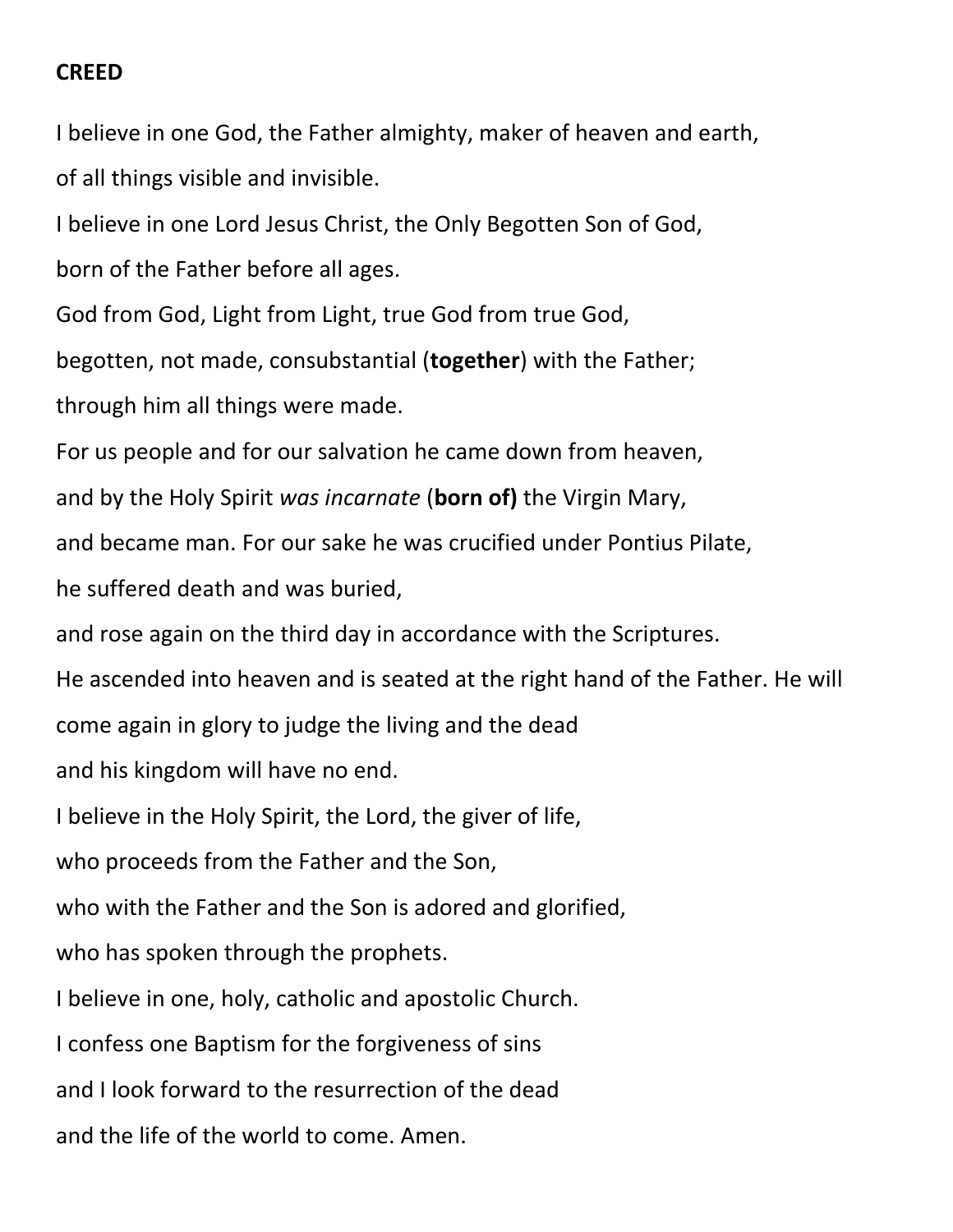## **CREED**

I believe in one God, the Father almighty, maker of heaven and earth, of all things visible and invisible.

I believe in one Lord Jesus Christ, the Only Begotten Son of God,

born of the Father before all ages.

God from God, Light from Light, true God from true God,

begotten, not made, consubstantial (**together**) with the Father;

through him all things were made.

For us people and for our salvation he came down from heaven,

and by the Holy Spirit *was incarnate* (**born of)** the Virgin Mary,

and became man. For our sake he was crucified under Pontius Pilate,

he suffered death and was buried,

and rose again on the third day in accordance with the Scriptures.

He ascended into heaven and is seated at the right hand of the Father. He will

come again in glory to judge the living and the dead

and his kingdom will have no end.

I believe in the Holy Spirit, the Lord, the giver of life,

who proceeds from the Father and the Son,

who with the Father and the Son is adored and glorified,

who has spoken through the prophets.

I believe in one, holy, catholic and apostolic Church.

I confess one Baptism for the forgiveness of sins

and I look forward to the resurrection of the dead

and the life of the world to come. Amen.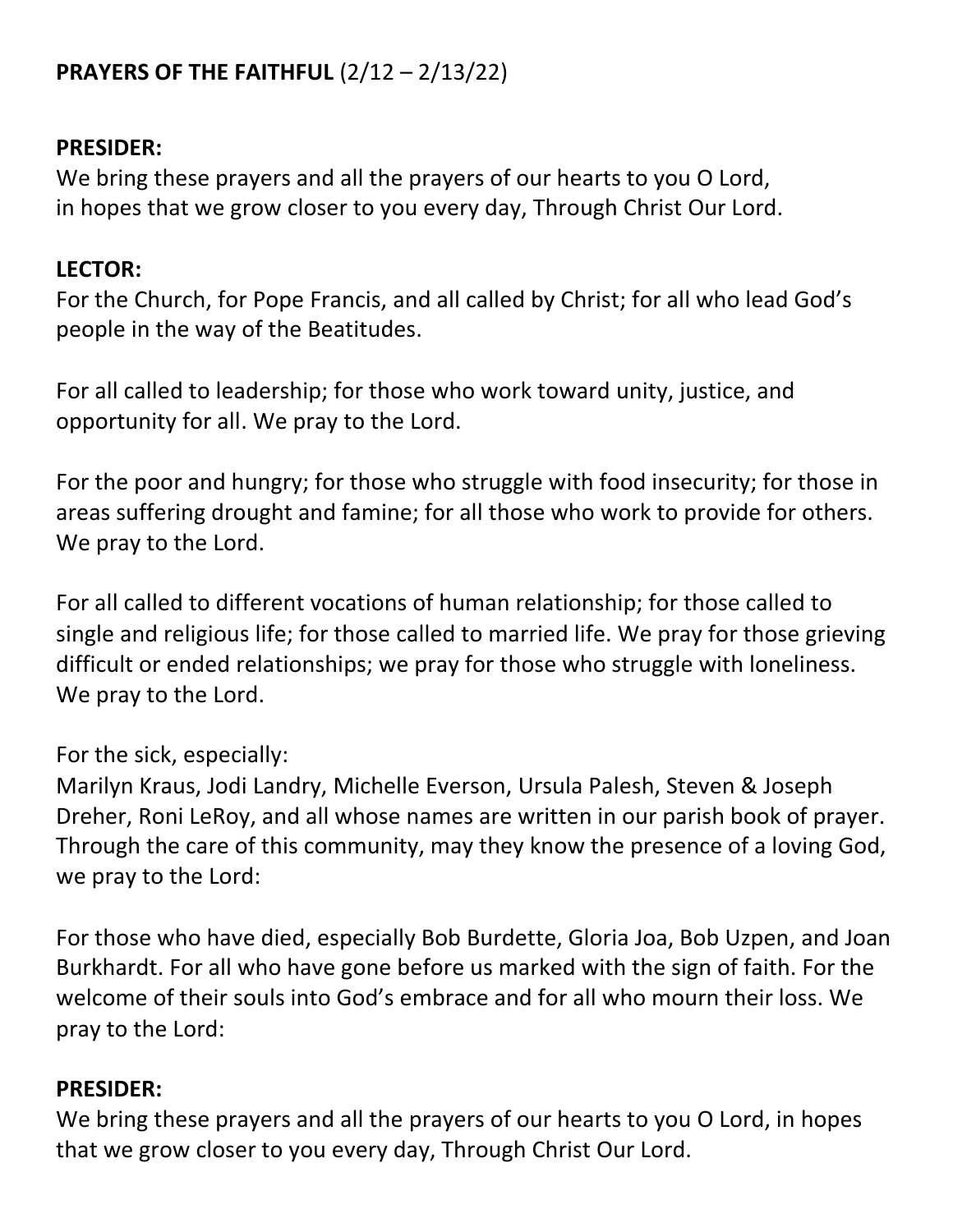## **PRAYERS OF THE FAITHFUL** (2/12 – 2/13/22)

## **PRESIDER:**

We bring these prayers and all the prayers of our hearts to you O Lord, in hopes that we grow closer to you every day, Through Christ Our Lord.

### **LECTOR:**

For the Church, for Pope Francis, and all called by Christ; for all who lead God's people in the way of the Beatitudes.

For all called to leadership; for those who work toward unity, justice, and opportunity for all. We pray to the Lord.

For the poor and hungry; for those who struggle with food insecurity; for those in areas suffering drought and famine; for all those who work to provide for others. We pray to the Lord.

For all called to different vocations of human relationship; for those called to single and religious life; for those called to married life. We pray for those grieving difficult or ended relationships; we pray for those who struggle with loneliness. We pray to the Lord.

## For the sick, especially:

Marilyn Kraus, Jodi Landry, Michelle Everson, Ursula Palesh, Steven & Joseph Dreher, Roni LeRoy, and all whose names are written in our parish book of prayer. Through the care of this community, may they know the presence of a loving God, we pray to the Lord:

For those who have died, especially Bob Burdette, Gloria Joa, Bob Uzpen, and Joan Burkhardt. For all who have gone before us marked with the sign of faith. For the welcome of their souls into God's embrace and for all who mourn their loss. We pray to the Lord:

## **PRESIDER:**

We bring these prayers and all the prayers of our hearts to you O Lord, in hopes that we grow closer to you every day, Through Christ Our Lord.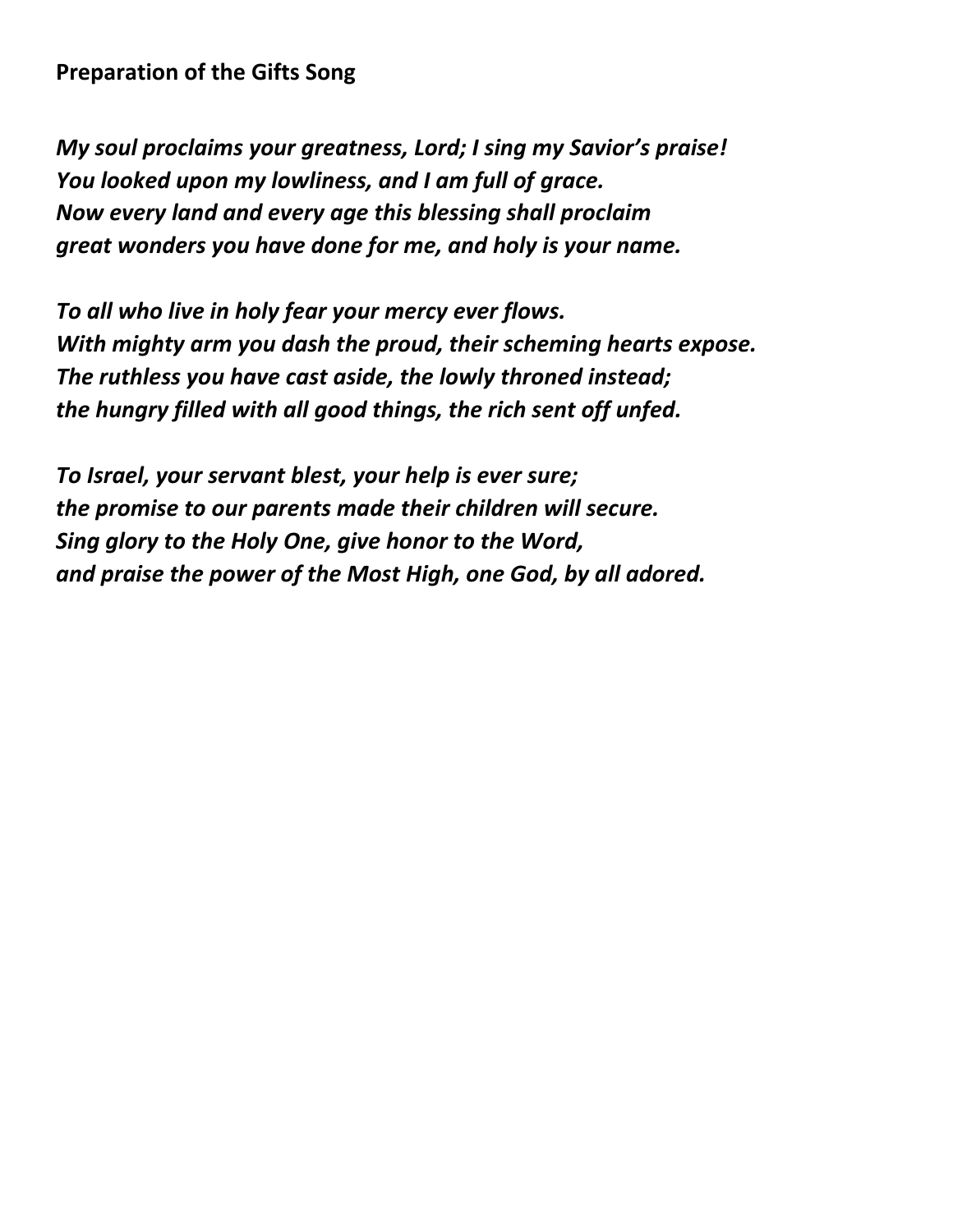### **Preparation of the Gifts Song**

*My soul proclaims your greatness, Lord; I sing my Savior's praise! You looked upon my lowliness, and I am full of grace. Now every land and every age this blessing shall proclaim great wonders you have done for me, and holy is your name.*

*To all who live in holy fear your mercy ever flows. With mighty arm you dash the proud, their scheming hearts expose. The ruthless you have cast aside, the lowly throned instead; the hungry filled with all good things, the rich sent off unfed.*

*To Israel, your servant blest, your help is ever sure; the promise to our parents made their children will secure. Sing glory to the Holy One, give honor to the Word, and praise the power of the Most High, one God, by all adored.*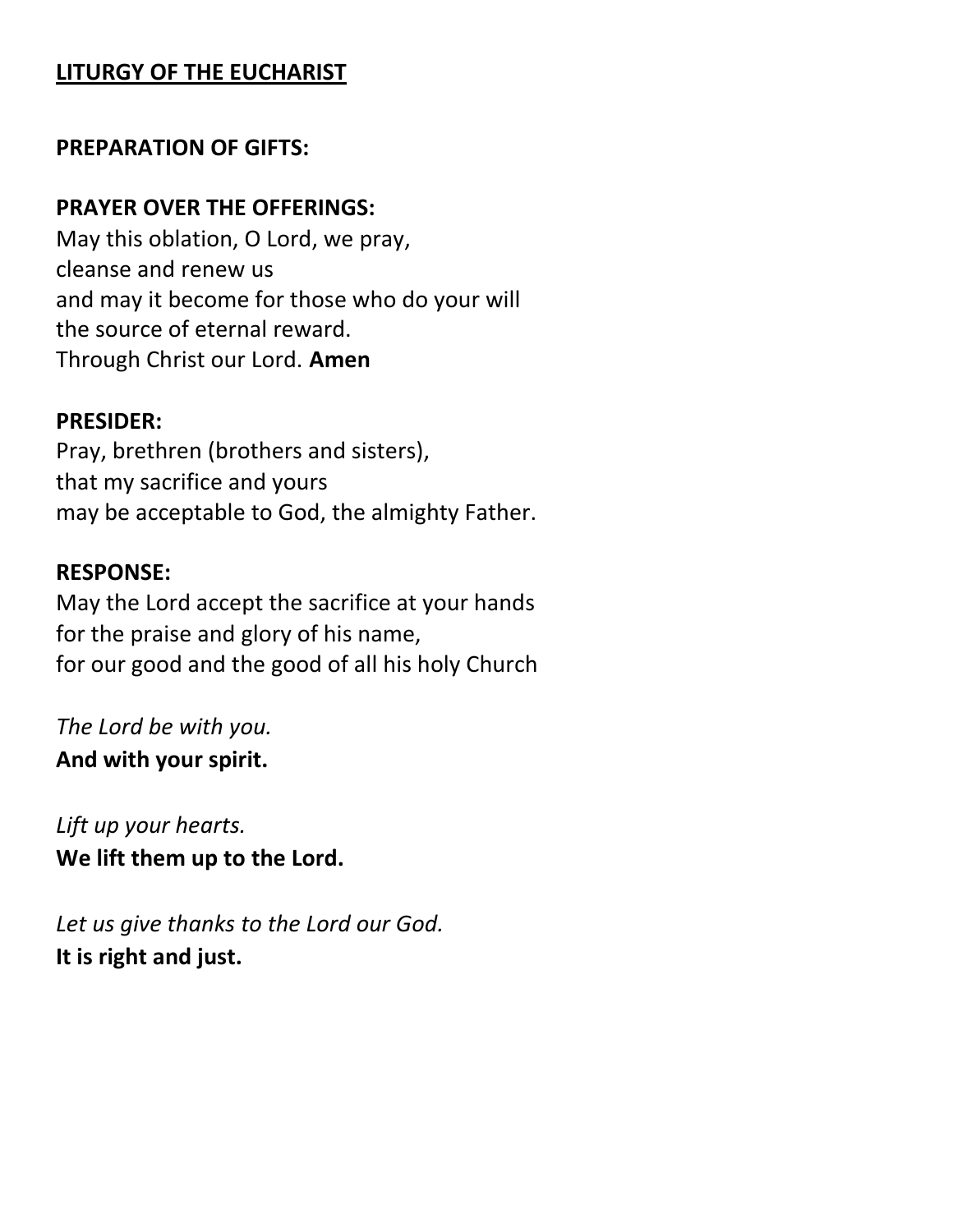## **LITURGY OF THE EUCHARIST**

### **PREPARATION OF GIFTS:**

#### **PRAYER OVER THE OFFERINGS:**

May this oblation, O Lord, we pray, cleanse and renew us and may it become for those who do your will the source of eternal reward. Through Christ our Lord. **Amen**

#### **PRESIDER:**

Pray, brethren (brothers and sisters), that my sacrifice and yours may be acceptable to God, the almighty Father.

#### **RESPONSE:**

May the Lord accept the sacrifice at your hands for the praise and glory of his name, for our good and the good of all his holy Church

*The Lord be with you.*  **And with your spirit.** 

*Lift up your hearts.*  **We lift them up to the Lord.** 

*Let us give thanks to the Lord our God.*  **It is right and just.**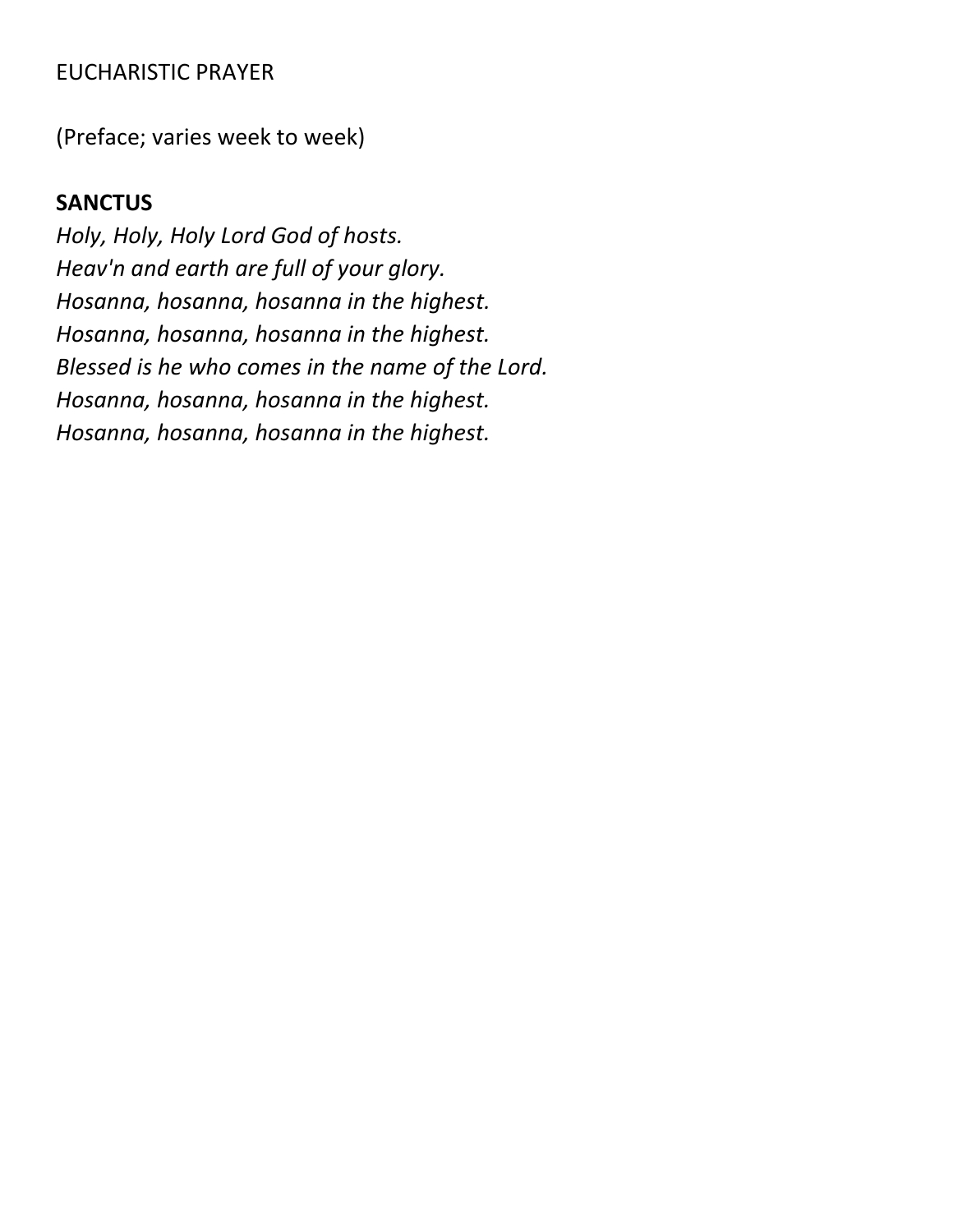## EUCHARISTIC PRAYER

(Preface; varies week to week)

### **SANCTUS**

*Holy, Holy, Holy Lord God of hosts. Heav'n and earth are full of your glory. Hosanna, hosanna, hosanna in the highest. Hosanna, hosanna, hosanna in the highest. Blessed is he who comes in the name of the Lord. Hosanna, hosanna, hosanna in the highest. Hosanna, hosanna, hosanna in the highest.*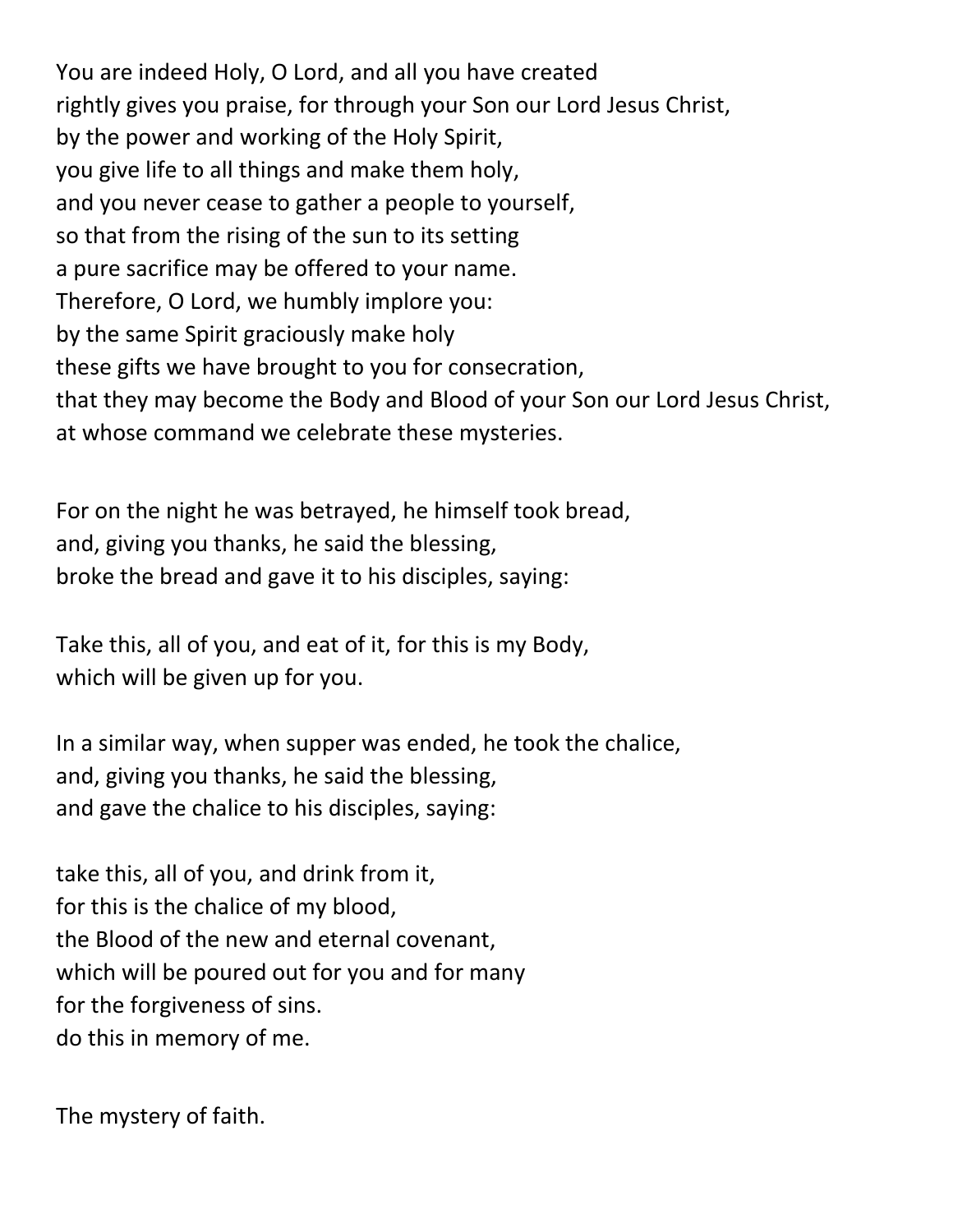You are indeed Holy, O Lord, and all you have created rightly gives you praise, for through your Son our Lord Jesus Christ, by the power and working of the Holy Spirit, you give life to all things and make them holy, and you never cease to gather a people to yourself, so that from the rising of the sun to its setting a pure sacrifice may be offered to your name. Therefore, O Lord, we humbly implore you: by the same Spirit graciously make holy these gifts we have brought to you for consecration, that they may become the Body and Blood of your Son our Lord Jesus Christ, at whose command we celebrate these mysteries.

For on the night he was betrayed, he himself took bread, and, giving you thanks, he said the blessing, broke the bread and gave it to his disciples, saying:

Take this, all of you, and eat of it, for this is my Body, which will be given up for you.

In a similar way, when supper was ended, he took the chalice, and, giving you thanks, he said the blessing, and gave the chalice to his disciples, saying:

take this, all of you, and drink from it, for this is the chalice of my blood, the Blood of the new and eternal covenant, which will be poured out for you and for many for the forgiveness of sins. do this in memory of me.

The mystery of faith.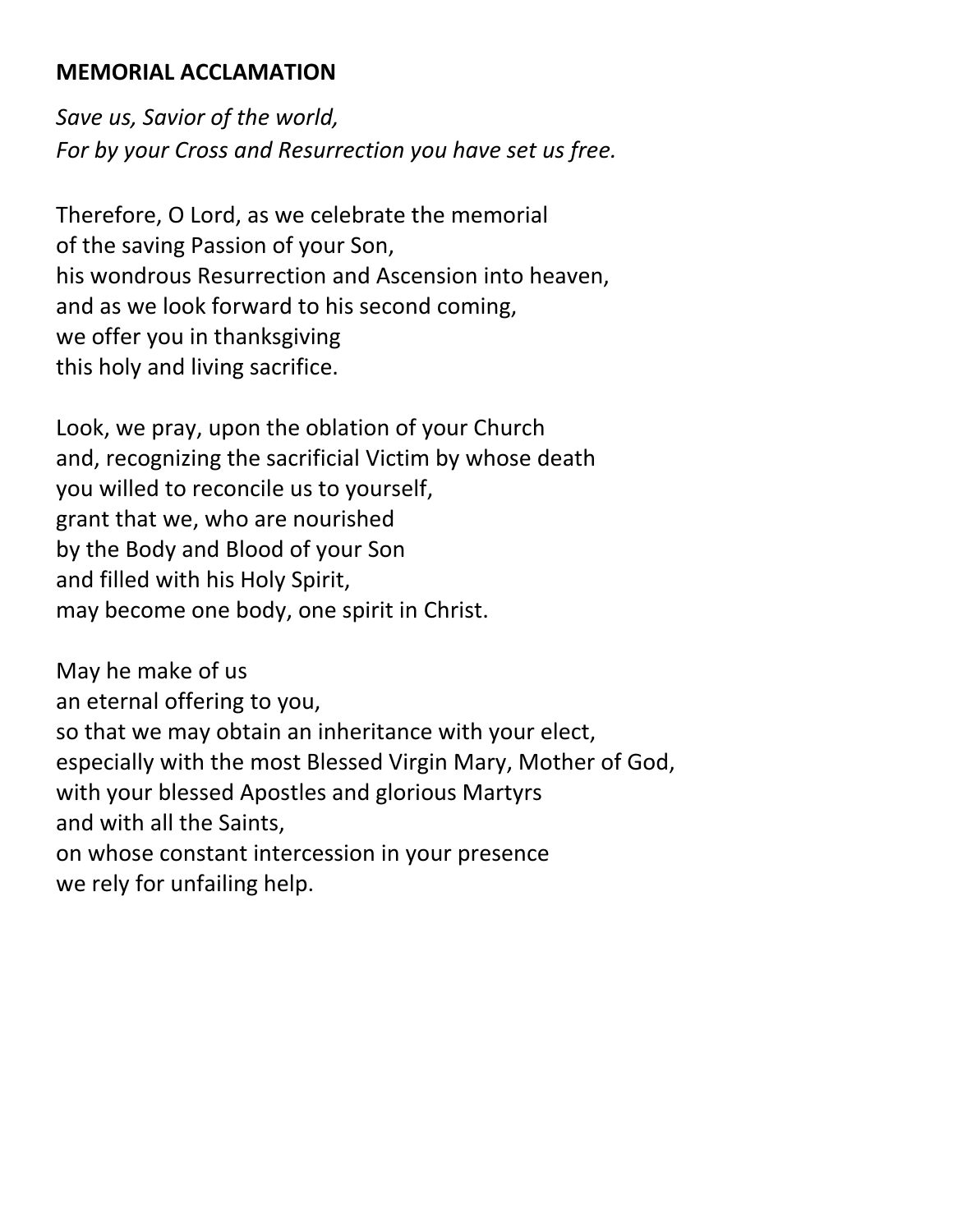#### **MEMORIAL ACCLAMATION**

*Save us, Savior of the world, For by your Cross and Resurrection you have set us free.*

Therefore, O Lord, as we celebrate the memorial of the saving Passion of your Son, his wondrous Resurrection and Ascension into heaven, and as we look forward to his second coming, we offer you in thanksgiving this holy and living sacrifice.

Look, we pray, upon the oblation of your Church and, recognizing the sacrificial Victim by whose death you willed to reconcile us to yourself, grant that we, who are nourished by the Body and Blood of your Son and filled with his Holy Spirit, may become one body, one spirit in Christ.

May he make of us an eternal offering to you, so that we may obtain an inheritance with your elect, especially with the most Blessed Virgin Mary, Mother of God, with your blessed Apostles and glorious Martyrs and with all the Saints, on whose constant intercession in your presence we rely for unfailing help.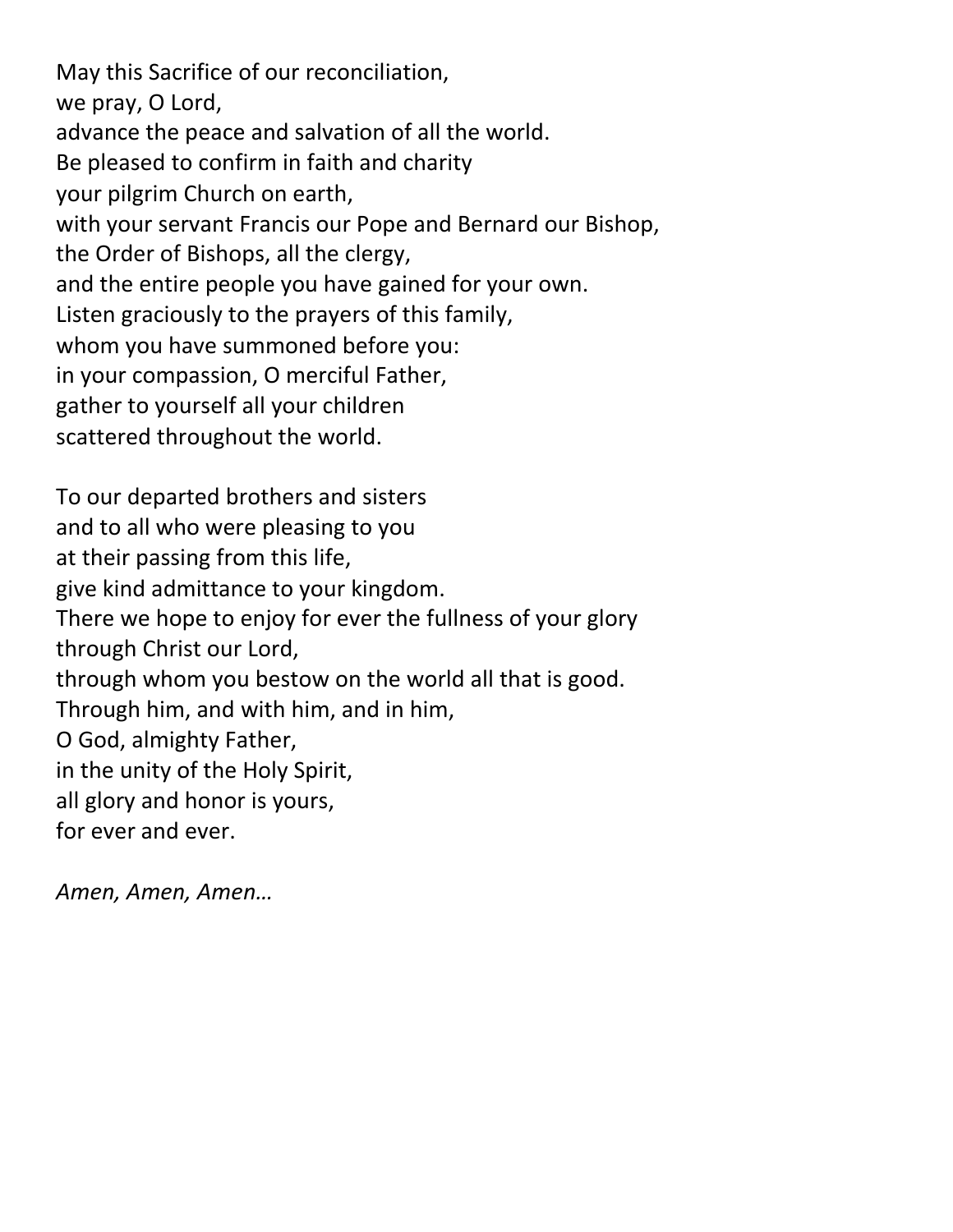May this Sacrifice of our reconciliation, we pray, O Lord, advance the peace and salvation of all the world. Be pleased to confirm in faith and charity your pilgrim Church on earth, with your servant Francis our Pope and Bernard our Bishop, the Order of Bishops, all the clergy, and the entire people you have gained for your own. Listen graciously to the prayers of this family, whom you have summoned before you: in your compassion, O merciful Father, gather to yourself all your children scattered throughout the world. To our departed brothers and sisters

and to all who were pleasing to you at their passing from this life, give kind admittance to your kingdom. There we hope to enjoy for ever the fullness of your glory through Christ our Lord, through whom you bestow on the world all that is good. Through him, and with him, and in him, O God, almighty Father, in the unity of the Holy Spirit, all glory and honor is yours, for ever and ever.

*Amen, Amen, Amen…*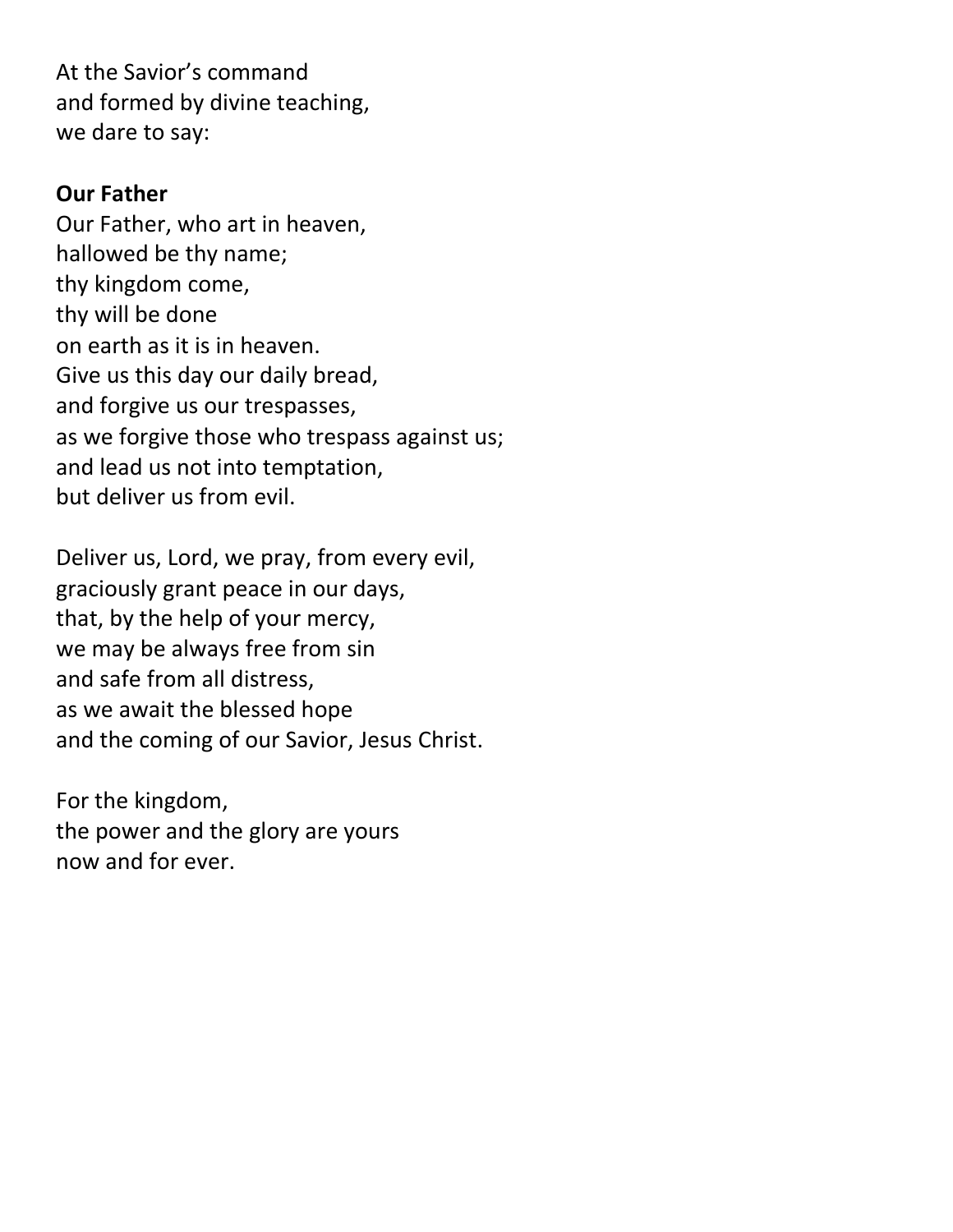At the Savior's command and formed by divine teaching, we dare to say:

#### **Our Father**

Our Father, who art in heaven, hallowed be thy name; thy kingdom come, thy will be done on earth as it is in heaven. Give us this day our daily bread, and forgive us our trespasses, as we forgive those who trespass against us; and lead us not into temptation, but deliver us from evil.

Deliver us, Lord, we pray, from every evil, graciously grant peace in our days, that, by the help of your mercy, we may be always free from sin and safe from all distress, as we await the blessed hope and the coming of our Savior, Jesus Christ.

For the kingdom, the power and the glory are yours now and for ever.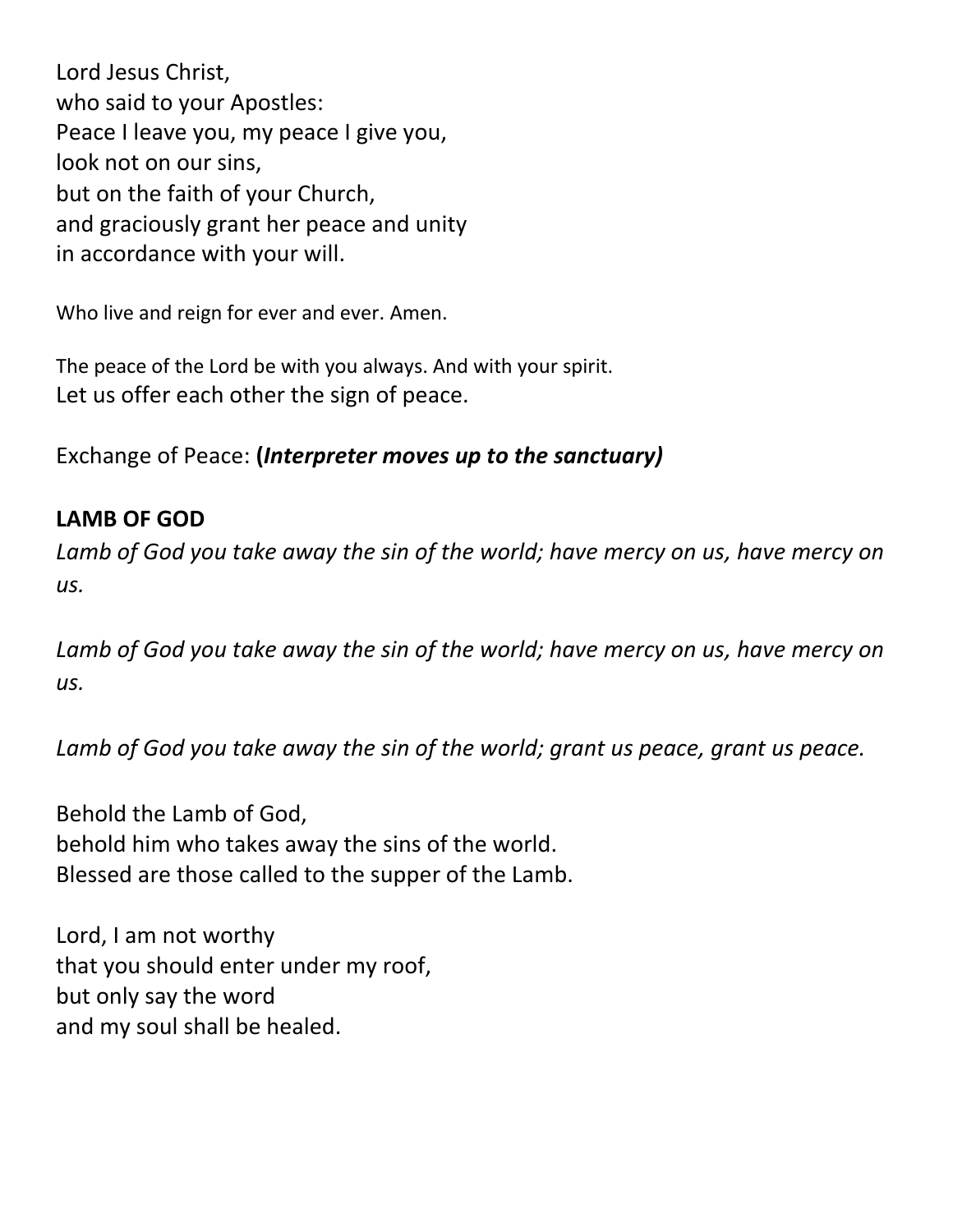Lord Jesus Christ, who said to your Apostles: Peace I leave you, my peace I give you, look not on our sins, but on the faith of your Church, and graciously grant her peace and unity in accordance with your will.

Who live and reign for ever and ever. Amen.

The peace of the Lord be with you always. And with your spirit. Let us offer each other the sign of peace.

Exchange of Peace: **(***Interpreter moves up to the sanctuary)* 

## **LAMB OF GOD**

Lamb of God you take away the sin of the world; have mercy on us, have mercy on *us.*

Lamb of God you take away the sin of the world; have mercy on us, have mercy on *us.*

*Lamb of God you take away the sin of the world; grant us peace, grant us peace.*

Behold the Lamb of God, behold him who takes away the sins of the world. Blessed are those called to the supper of the Lamb.

Lord, I am not worthy that you should enter under my roof, but only say the word and my soul shall be healed.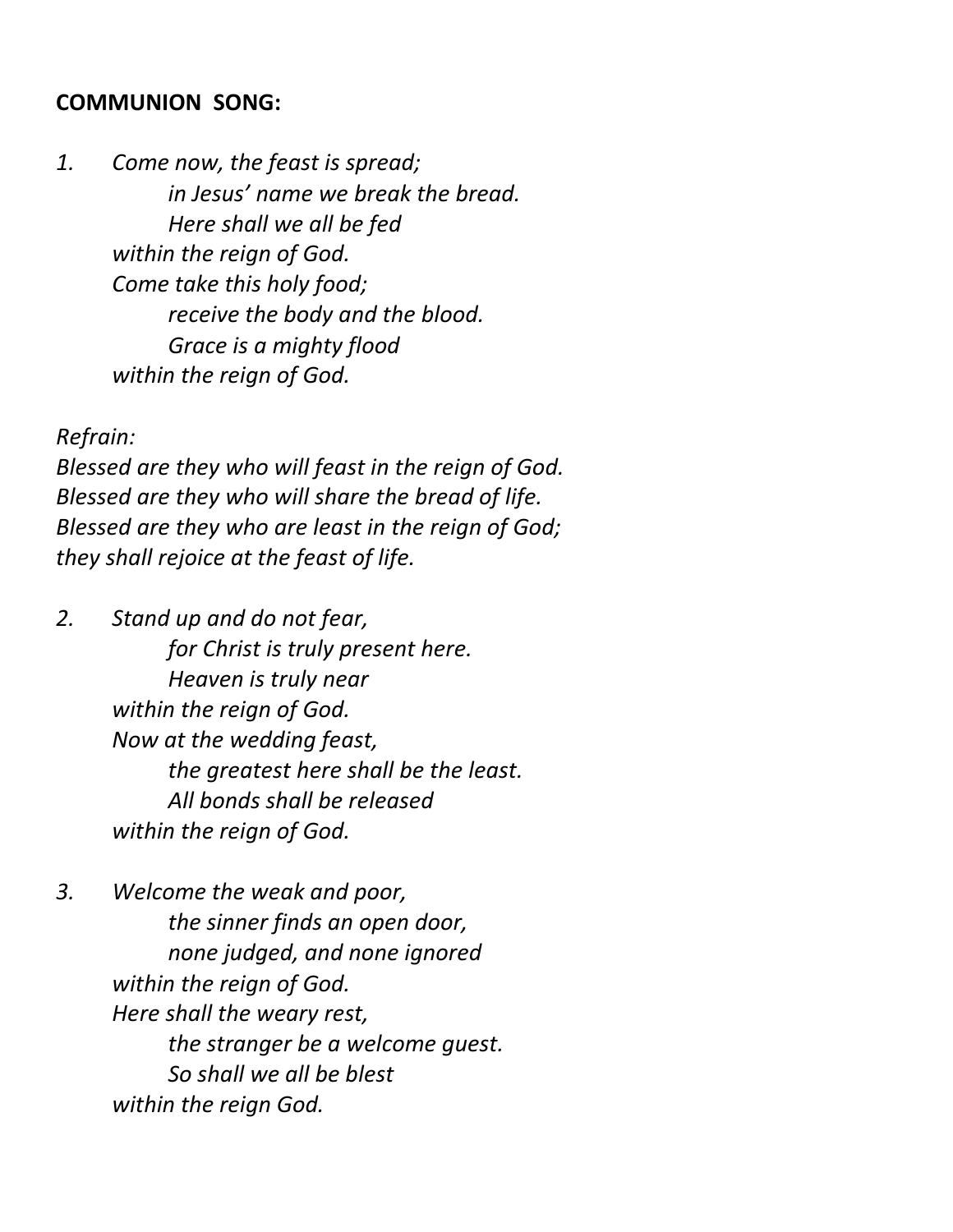#### **COMMUNION SONG:**

*1. Come now, the feast is spread; in Jesus' name we break the bread. Here shall we all be fed within the reign of God. Come take this holy food; receive the body and the blood. Grace is a mighty flood within the reign of God.* 

*Refrain:*

*Blessed are they who will feast in the reign of God. Blessed are they who will share the bread of life. Blessed are they who are least in the reign of God; they shall rejoice at the feast of life.*

- *2. Stand up and do not fear, for Christ is truly present here. Heaven is truly near within the reign of God. Now at the wedding feast, the greatest here shall be the least. All bonds shall be released within the reign of God.*
- *3. Welcome the weak and poor, the sinner finds an open door, none judged, and none ignored within the reign of God. Here shall the weary rest, the stranger be a welcome guest. So shall we all be blest within the reign God.*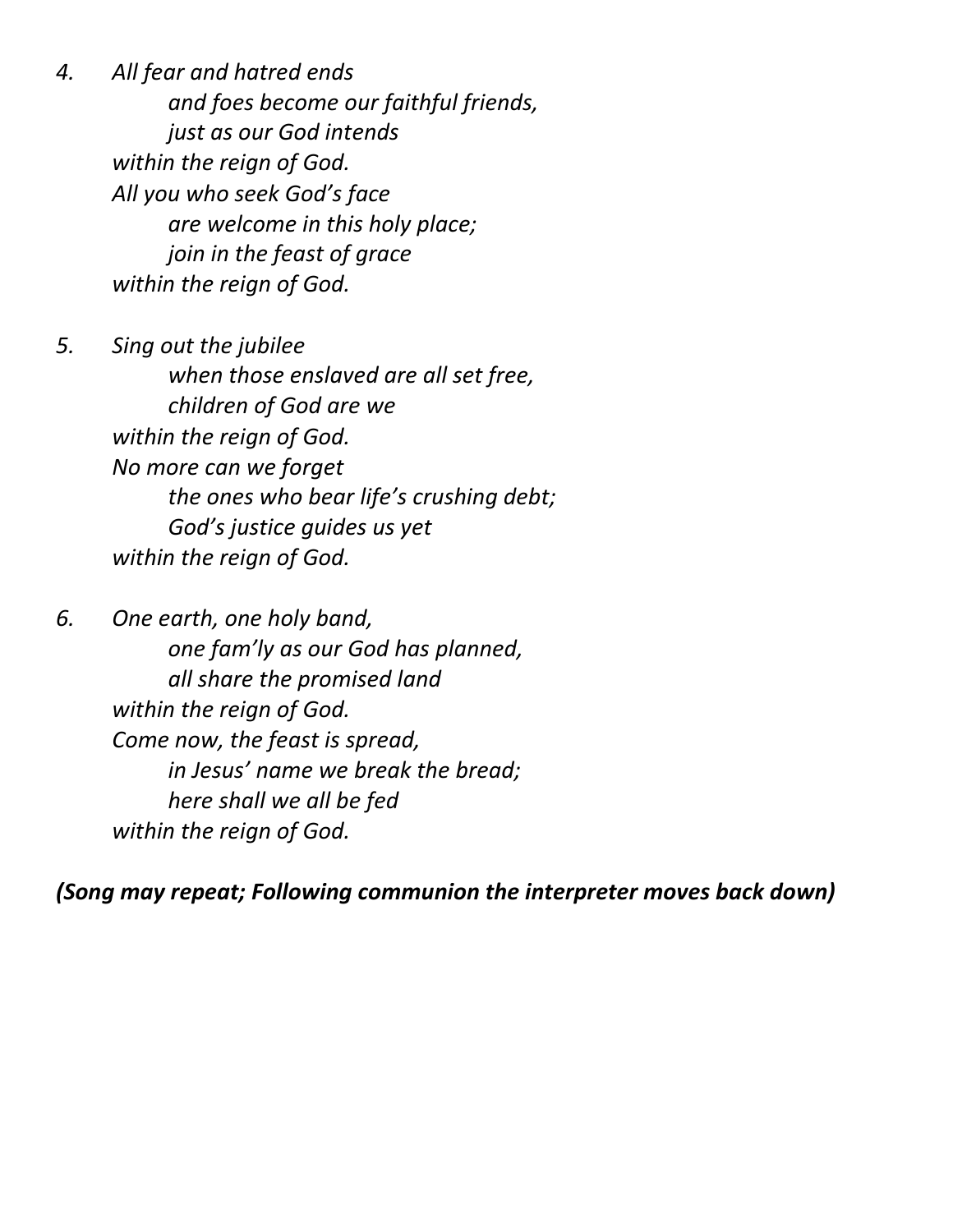*4. All fear and hatred ends and foes become our faithful friends, just as our God intends within the reign of God. All you who seek God's face are welcome in this holy place; join in the feast of grace within the reign of God.*

*5. Sing out the jubilee when those enslaved are all set free, children of God are we within the reign of God. No more can we forget the ones who bear life's crushing debt; God's justice guides us yet within the reign of God.*

*6. One earth, one holy band, one fam'ly as our God has planned, all share the promised land within the reign of God. Come now, the feast is spread, in Jesus' name we break the bread; here shall we all be fed within the reign of God.*

*(Song may repeat; Following communion the interpreter moves back down)*